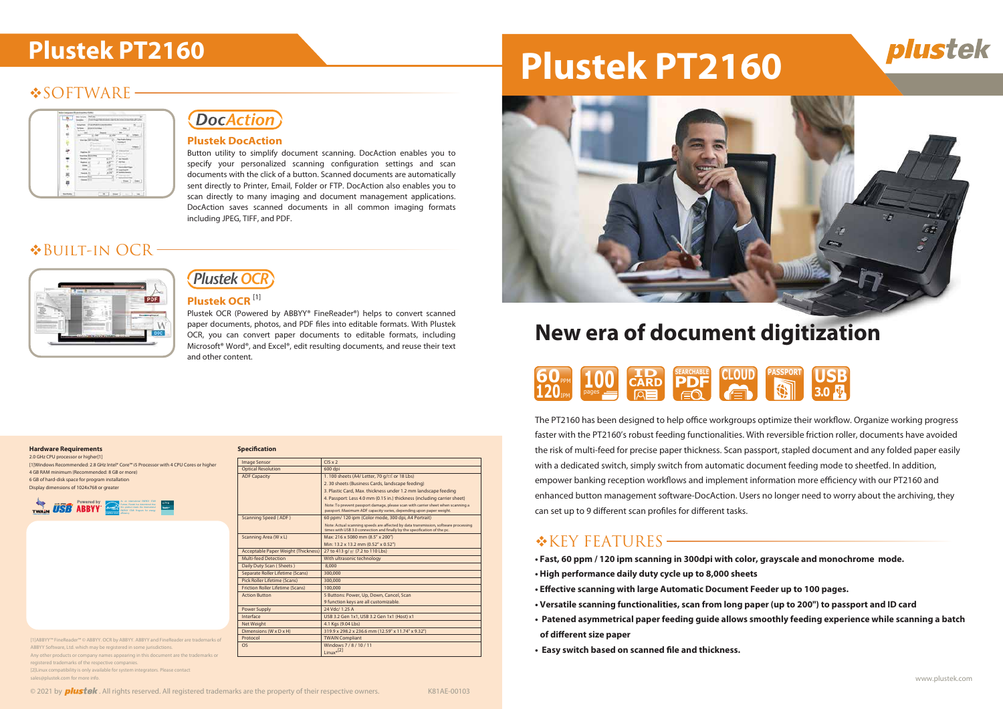## **◆SOFTWARE-**

| ÷                              |
|--------------------------------|
| m<br>me j<br>ï                 |
|                                |
| X<br>u<br>٠                    |
| $\alpha$                       |
| a lima                         |
| Ē<br>$-1.5$<br>$(m-1)$ . See ] |

# **DocAction**

# **Plustek PT2160 Plustek PT2160**



# **New era of document digitization**

- **Fast, 60 ppm / 120 ipm scanning in 300dpi with color, grayscale and monochrome mode.**
- **High performance daily duty cycle up to 8,000 sheets**
- **Effective scanning with large Automatic Document Feeder up to 100 pages.**
- **Versatile scanning functionalities, scan from long paper (up to 200") to passport and ID card**
- **Patened asymmetrical paper feeding guide allows smoothly feeding experience while scanning a batch of different size paper**
- **Easy switch based on scanned file and thickness.**





2.0 GHz CPU processor or higher<sup>[1]</sup> [1]Windows Recommended: 2.8 GHz Intel® Core™ i5 Processor with 4 CPU Cores or higher 4 GB RAM minimum (Recommended: 8 GB or more) 6 GB of hard-disk space for program installation Display dimensions of 1024x768 or greater

#### **Hardware Requirements**

| <b>Image Sensor</b>                        | $CIS \times 2$                                                                                                                                                   |
|--------------------------------------------|------------------------------------------------------------------------------------------------------------------------------------------------------------------|
| <b>Optical Resolution</b>                  | 600 dpi                                                                                                                                                          |
| <b>ADF Capacity</b>                        | 1.100 sheets (A4/ Letter, 70 g/ $\hat{m}$ or 18 Lbs)                                                                                                             |
|                                            | 2. 30 sheets (Business Cards, landscape feeding)                                                                                                                 |
|                                            | 3. Plastic Card, Max. thickness under 1.2 mm landscape feeding                                                                                                   |
|                                            | 4. Passport: Less 4.0 mm (0.15 in.) thickness (including carrier sheet)                                                                                          |
|                                            | Note: To prevent passport damage, please scan with carrier sheet when scanning a<br>passport. Maximum ADF capacity varies, depending upon paper weight.          |
| <b>Scanning Speed (ADF)</b>                | 60 ppm/ 120 ipm (Color mode, 300 dpi, A4 Portrait)                                                                                                               |
|                                            | Note: Actual scanning speeds are affected by data transmission, software processing<br>times with USB 3.0 connection and finally by the specification of the pc. |
| Scanning Area (W x L)                      | Max: 216 x 5080 mm (8.5" x 200")                                                                                                                                 |
|                                            | Min: 13.2 x 13.2 mm (0.52" x 0.52")                                                                                                                              |
| <b>Acceptable Paper Weight (Thickness)</b> | 27 to 413 g/ m <sup>2</sup> (7.2 to 110 Lbs)                                                                                                                     |
| <b>Multi-feed Detection</b>                | With ultrasonic technology                                                                                                                                       |
| Daily Duty Scan (Sheets)                   | 8.000                                                                                                                                                            |
| Separate Roller Lifetime (Scans)           | 300.000                                                                                                                                                          |
| Pick Roller Lifetime (Scans)               | 300.000                                                                                                                                                          |
| <b>Friction Roller Lifetime (Scans)</b>    | 100,000                                                                                                                                                          |
| <b>Action Button</b>                       | 5 Buttons: Power, Up, Down, Cancel, Scan                                                                                                                         |
|                                            | 9 function keys are all customizable.                                                                                                                            |
| <b>Power Supply</b>                        | 24 Vdc/ 1.25 A                                                                                                                                                   |
| Interface                                  | USB 3.2 Gen 1x1, USB 3.2 Gen 1x1 (Host) x1                                                                                                                       |
| Net Weight                                 | 4.1 Kgs (9.04 Lbs)                                                                                                                                               |
| Dimensions (W x D x H)                     | 319.9 x 298.2 x 236.6 mm (12.59" x 11.74" x 9.32")                                                                                                               |
| Protocol                                   | <b>TWAIN Compliant</b>                                                                                                                                           |
| <b>OS</b>                                  | Windows 7/8/10/11<br>$L$ inux <sup>*</sup> [2]                                                                                                                   |

| <b>120</b> <sub>IPM</sub> | <b>60PM</b> 100 CARD PDF | RED EQ (E) | SEARCHABLE CLOUD PASSPORT US | 3.0 |
|---------------------------|--------------------------|------------|------------------------------|-----|
|                           |                          |            |                              |     |

The PT2160 has been designed to help office workgroups optimize their workflow. Organize working progress faster with the PT2160's robust feeding functionalities. With reversible friction roller, documents have avoided the risk of multi-feed for precise paper thickness. Scan passport, stapled document and any folded paper easily with a dedicated switch, simply switch from automatic document feeding mode to sheetfed. In addition, empower banking reception workflows and implement information more efficiency with our PT2160 and enhanced button management software-DocAction. Users no longer need to worry about the archiving, they can set up to 9 different scan profiles for different tasks.

# $K$ KEY FEATURES -



#### **Plustek DocAction**

Button utility to simplify document scanning. DocAction enables you to specify your personalized scanning configuration settings and scan documents with the click of a button. Scanned documents are automatically sent directly to Printer, Email, Folder or FTP. DocAction also enables you to scan directly to many imaging and document management applications. DocAction saves scanned documents in all common imaging formats including JPEG, TIFF, and PDF.

| 20 M - SPEED<br><b>TWAIN</b><br>Lisling Joseph Fish Andication | <b>Powered by</b><br><b>USB ABBYY</b> | As an international ENERGY STAR<br>Partner, Plustek has determined that<br>County of this product meets the international<br>ENERGY STAR Program for energy<br><b>ENFROYSTAR</b> efficiency. | citrix<br>Ready- |  |
|----------------------------------------------------------------|---------------------------------------|----------------------------------------------------------------------------------------------------------------------------------------------------------------------------------------------|------------------|--|
|----------------------------------------------------------------|---------------------------------------|----------------------------------------------------------------------------------------------------------------------------------------------------------------------------------------------|------------------|--|

# Built-in OCR



#### **Plustek OCR** [1]

Plustek OCR (Powered by ABBYY® FineReader®) helps to convert scanned paper documents, photos, and PDF files into editable formats. With Plustek OCR, you can convert paper documents to editable formats, including Microsoft® Word®, and Excel®, edit resulting documents, and reuse their text and other content.



[1]ABBYY™ FineReader™ © ABBYY. OCR by ABBYY. ABBYY and FineReader are trademarks of ABBYY Software, Ltd. which may be registered in some jurisdictions. Any other products or company names appearing in this document are the trademarks or

registered trademarks of the respective companies. [2]Linux compatibility is only available for system integrators. Please contact

sales@plustek.com for more info.